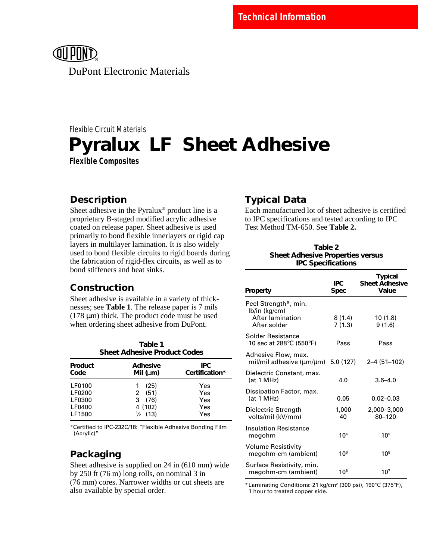

DuPont Electronic Materials

# **Pyralux® LF ® Sheet Adhesive** Flexible Circuit Materials **Flexible Composites**

### **Description**

Sheet adhesive in the Pyralux® product line is a proprietary B-staged modified acrylic adhesive coated on release paper. Sheet adhesive is used primarily to bond flexible innerlayers or rigid cap layers in multilayer lamination. It is also widely used to bond flexible circuits to rigid boards during the fabrication of rigid-flex circuits, as well as to bond stiffeners and heat sinks.

### **Construction**

Sheet adhesive is available in a variety of thicknesses; see **Table 1**. The release paper is 7 mils (178 µm) thick. The product code must be used when ordering sheet adhesive from DuPont.

| Table 1<br><b>Sheet Adhesive Product Codes</b> |                                               |                        |
|------------------------------------------------|-----------------------------------------------|------------------------|
| Product<br>Code                                | <b>Adhesive</b><br>Mil $(\mu m)$              | IPC.<br>Certification* |
| LF0100<br>LF0200                               | (25)<br>1<br>2(51)                            | Yes<br>Yes             |
| LF0300<br>LF0400<br>LF1500                     | (76)<br>3<br>4 (102)<br>(13)<br>$\frac{1}{2}$ | Yes<br>Yes<br>Yes      |

\*Certified to IPC-232C/18: "Flexible Adhesive Bonding Film (Acrylic)"

## **Packaging**

Sheet adhesive is supplied on 24 in (610 mm) wide by 250 ft (76 m) long rolls, on nominal 3 in (76 mm) cores. Narrower widths or cut sheets are also available by special order.

### **Typical Data**

Each manufactured lot of sheet adhesive is certified to IPC specifications and tested according to IPC Test Method TM-650. See **Table 2.**

#### **Table 2 Sheet Adhesive Properties versus IPC Specifications**

| Property                                                                  | IPC.<br><b>Spec</b> | <b>Typical</b><br><b>Sheet Adhesive</b><br>Value |
|---------------------------------------------------------------------------|---------------------|--------------------------------------------------|
| Peel Strength*, min.<br>lb/in (kg/cm)<br>After lamination<br>After solder | 8(1.4)<br>7(1.3)    | 10(1.8)<br>9(1.6)                                |
| Solder Resistance<br>10 sec at 288°C (550°F)                              | Pass                | Pass                                             |
| Adhesive Flow, max.<br>mil/mil adhesive (μm/μm)                           | 5.0(127)            | 2-4 (51-102)                                     |
| Dielectric Constant, max.<br>(at 1 MHz)                                   | 4.0                 | $3.6 - 4.0$                                      |
| Dissipation Factor, max.<br>(at 1 MHz)                                    | 0.05                | $0.02 - 0.03$                                    |
| Dielectric Strength<br>volts/mil (kV/mm)                                  | 1,000<br>40         | 2,000-3,000<br>80-120                            |
| Insulation Resistance<br>megohm                                           | 10 <sup>4</sup>     | 105                                              |
| Volume Resistivity<br>megohm-cm (ambient)                                 | 10 <sup>6</sup>     | $10^{8}$                                         |
| Surface Resistivity, min.<br>megohm-cm (ambient)                          | 106                 | 10 <sup>7</sup>                                  |

\*Laminating Conditions: 21 kg/cm2 (300 psi), 190°C (375°F), 1 hour to treated copper side.